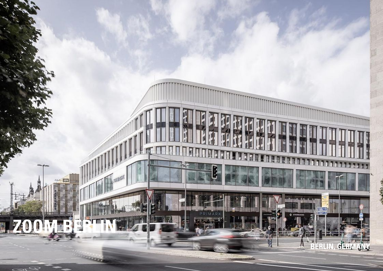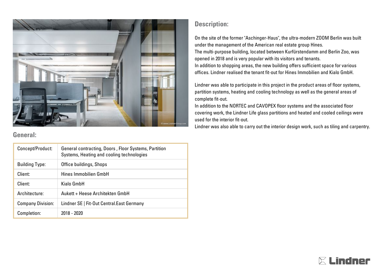

## **General:**

| Concept/Product:         | General contracting, Doors, Floor Systems, Partition<br>Systems, Heating and cooling technologies |
|--------------------------|---------------------------------------------------------------------------------------------------|
| <b>Building Type:</b>    | Office buildings, Shops                                                                           |
| Client:                  | Hines Immobilien GmbH                                                                             |
| Client:                  | Kialo GmbH                                                                                        |
| Architecture:            | Aukett + Heese Architekten GmbH                                                                   |
| <b>Company Division:</b> | Lindner SE   Fit-Out Central. East Germany                                                        |
| Completion:              | 2018 - 2020                                                                                       |

## **Description:**

On the site of the former "Aschinger-Haus", the ultra-modern ZOOM Berlin was built under the management of the American real estate group Hines. The multi-purpose building, located between Kurfürstendamm and Berlin Zoo, was opened in 2018 and is very popular with its visitors and tenants. In addition to shopping areas, the new building offers sufficient space for various offices. Lindner realised the tenant fit-out for Hines Immobilien and Kialo GmbH.

Lindner was able to participate in this project in the product areas of floor systems, partition systems, heating and cooling technology as well as the general areas of complete fit-out.

In addition to the NORTEC and CAVOPEX floor systems and the associated floor covering work, the Lindner Life glass partitions and heated and cooled ceilings were used for the interior fit-out.

Lindner was also able to carry out the interior design work, such as tiling and carpentry.

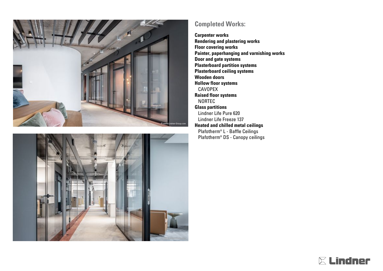



## **Completed Works:**

**Carpenter works Rendering and plastering works Floor covering works Painter, paperhanging and varnishing works Door and gate systems Plasterboard partition systems Plasterboard ceiling systems Wooden doors Hollow floor systems** CAVOPEX **Raised floor systems** NORTEC **Glass partitions** Lindner Life Pure 620 Lindner Life Freeze 137 **Heated and chilled metal ceilings** Plafotherm® L - Baffle Ceilings Plafotherm® DS - Canopy ceilings

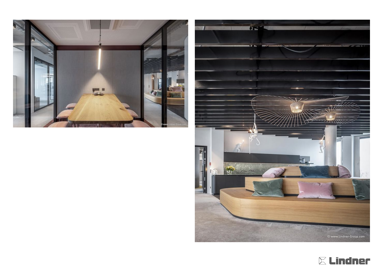



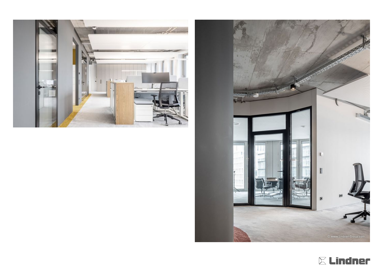



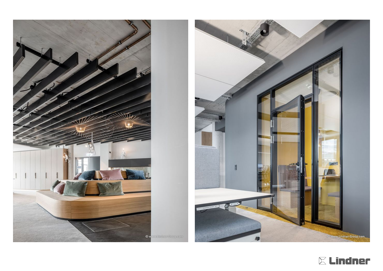